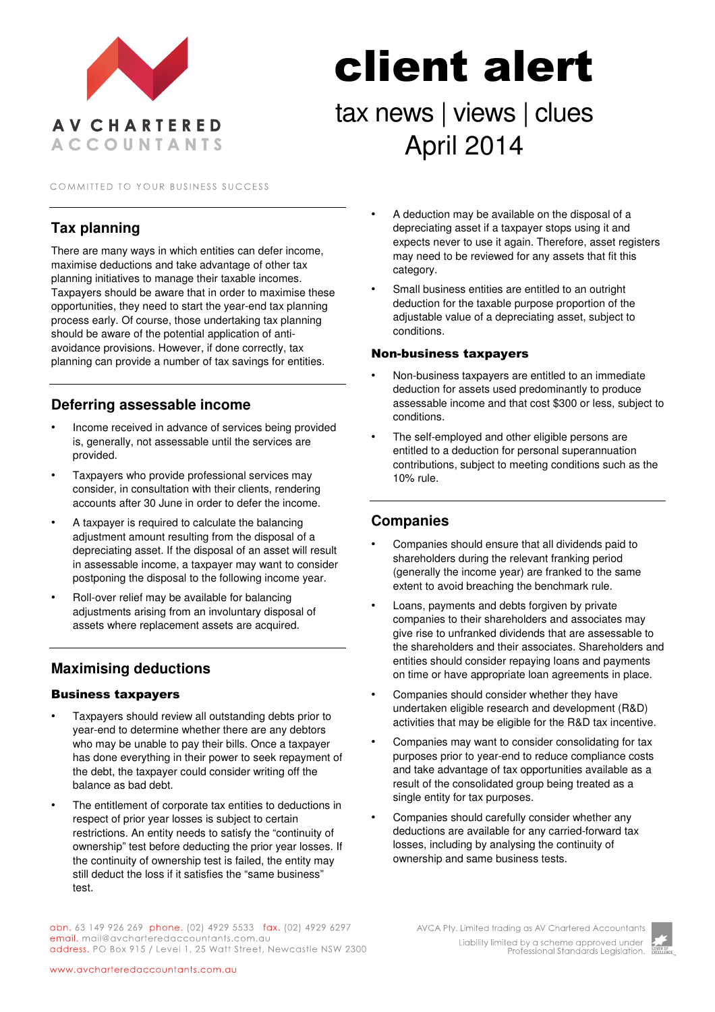

#### COMMITTED TO YOUR BUSINESS SUCCESS

## **Tax planning**

There are many ways in which entities can defer income, maximise deductions and take advantage of other tax planning initiatives to manage their taxable incomes. Taxpayers should be aware that in order to maximise these opportunities, they need to start the year-end tax planning process early. Of course, those undertaking tax planning should be aware of the potential application of antiavoidance provisions. However, if done correctly, tax planning can provide a number of tax savings for entities.

### **Deferring assessable income**

- Income received in advance of services being provided is, generally, not assessable until the services are provided.
- Taxpayers who provide professional services may consider, in consultation with their clients, rendering accounts after 30 June in order to defer the income.
- A taxpayer is required to calculate the balancing adjustment amount resulting from the disposal of a depreciating asset. If the disposal of an asset will result in assessable income, a taxpayer may want to consider postponing the disposal to the following income year.
- Roll-over relief may be available for balancing adjustments arising from an involuntary disposal of assets where replacement assets are acquired.

## **Maximising deductions**

#### Business taxpayers

- Taxpayers should review all outstanding debts prior to year-end to determine whether there are any debtors who may be unable to pay their bills. Once a taxpayer has done everything in their power to seek repayment of the debt, the taxpayer could consider writing off the balance as bad debt.
- The entitlement of corporate tax entities to deductions in respect of prior year losses is subject to certain restrictions. An entity needs to satisfy the "continuity of ownership" test before deducting the prior year losses. If the continuity of ownership test is failed, the entity may still deduct the loss if it satisfies the "same business" test.
- A deduction may be available on the disposal of a depreciating asset if a taxpayer stops using it and expects never to use it again. Therefore, asset registers may need to be reviewed for any assets that fit this category.
- Small business entities are entitled to an outright deduction for the taxable purpose proportion of the adjustable value of a depreciating asset, subject to conditions.

#### Non-business taxpayers

client alert

tax news | views | clues

April 2014

- Non-business taxpayers are entitled to an immediate deduction for assets used predominantly to produce assessable income and that cost \$300 or less, subject to conditions.
- The self-employed and other eligible persons are entitled to a deduction for personal superannuation contributions, subject to meeting conditions such as the 10% rule.

### **Companies**

- Companies should ensure that all dividends paid to shareholders during the relevant franking period (generally the income year) are franked to the same extent to avoid breaching the benchmark rule.
- Loans, payments and debts forgiven by private companies to their shareholders and associates may give rise to unfranked dividends that are assessable to the shareholders and their associates. Shareholders and entities should consider repaying loans and payments on time or have appropriate loan agreements in place.
- Companies should consider whether they have undertaken eligible research and development (R&D) activities that may be eligible for the R&D tax incentive.
- Companies may want to consider consolidating for tax purposes prior to year-end to reduce compliance costs and take advantage of tax opportunities available as a result of the consolidated group being treated as a single entity for tax purposes.
- Companies should carefully consider whether any deductions are available for any carried-forward tax losses, including by analysing the continuity of ownership and same business tests.

abn. 63 149 926 269 phone. (02) 4929 5533 fax. (02) 4929 6297 email. mail@avcharteredaccountants.com.au address. PO Box 915 / Level 1, 25 Watt Street, Newcastle NSW 2300